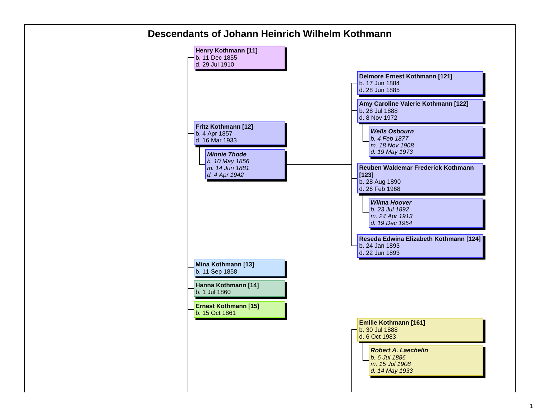

## 1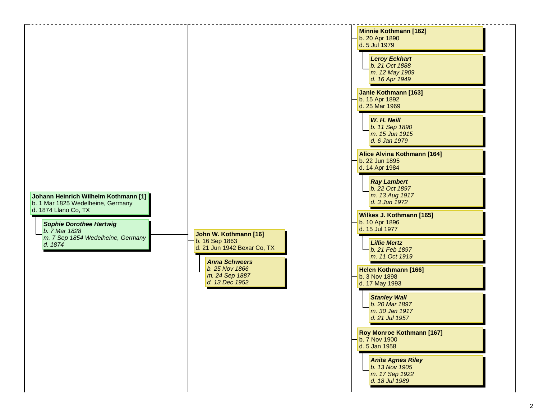| Johann Heinrich Wilhelm Kothmann [1]<br>b. 1 Mar 1825 Wedelheine, Germany<br>d. 1874 Llano Co, TX<br><b>Sophie Dorothee Hartwig</b><br>b. 7 Mar 1828<br>m. 7 Sep 1854 Wedelheine, Germany<br>d. 1874 | John W. Kothmann [16]<br>b. 16 Sep 1863<br>d. 21 Jun 1942 Bexar Co, TX<br><b>Anna Schweers</b><br>b. 25 Nov 1866<br>m. 24 Sep 1887<br>d. 13 Dec 1952 | <b>Minnie Kothmann [162]</b><br>b. 20 Apr 1890<br>d. 5 Jul 1979<br><b>Leroy Eckhart</b><br>b. 21 Oct 1888<br>m. 12 May 1909<br>d. 16 Apr 1949<br>Janie Kothmann [163]<br>b. 15 Apr 1892<br>d. 25 Mar 1969<br>W. H. Neill<br>b. 11 Sep 1890<br>m. 15 Jun 1915<br>d. 6 Jan 1979<br>Alice Alvina Kothmann [164]<br>b. 22 Jun 1895<br>d. 14 Apr 1984<br><b>Ray Lambert</b><br>b. 22 Oct 1897<br>m. 13 Aug 1917<br>d. 3 Jun 1972<br><b>Wilkes J. Kothmann [165]</b><br>b. 10 Apr 1896<br>d. 15 Jul 1977<br><b>Lillie Mertz</b><br>b. 21 Feb 1897<br>m. 11 Oct 1919<br>Helen Kothmann [166]<br>b. 3 Nov 1898<br>d. 17 May 1993<br><b>Stanley Wall</b><br>b. 20 Mar 1897<br>m. 30 Jan 1917<br>d. 21 Jul 1957<br>Roy Monroe Kothmann [167]<br>b. 7 Nov 1900<br>d. 5 Jan 1958<br><b>Anita Agnes Riley</b><br>b. 13 Nov 1905<br>m. 17 Sep 1922<br>d. 18 Jul 1989 |  |
|------------------------------------------------------------------------------------------------------------------------------------------------------------------------------------------------------|------------------------------------------------------------------------------------------------------------------------------------------------------|--------------------------------------------------------------------------------------------------------------------------------------------------------------------------------------------------------------------------------------------------------------------------------------------------------------------------------------------------------------------------------------------------------------------------------------------------------------------------------------------------------------------------------------------------------------------------------------------------------------------------------------------------------------------------------------------------------------------------------------------------------------------------------------------------------------------------------------------------------|--|
|------------------------------------------------------------------------------------------------------------------------------------------------------------------------------------------------------|------------------------------------------------------------------------------------------------------------------------------------------------------|--------------------------------------------------------------------------------------------------------------------------------------------------------------------------------------------------------------------------------------------------------------------------------------------------------------------------------------------------------------------------------------------------------------------------------------------------------------------------------------------------------------------------------------------------------------------------------------------------------------------------------------------------------------------------------------------------------------------------------------------------------------------------------------------------------------------------------------------------------|--|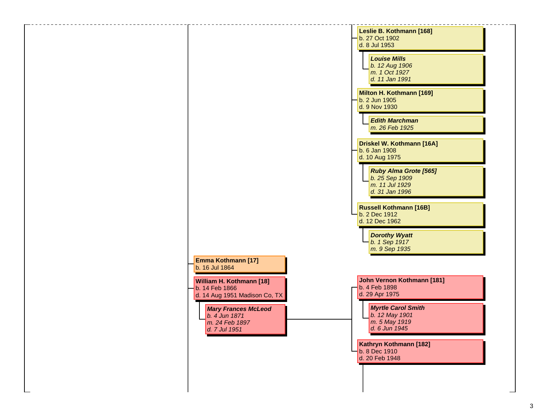